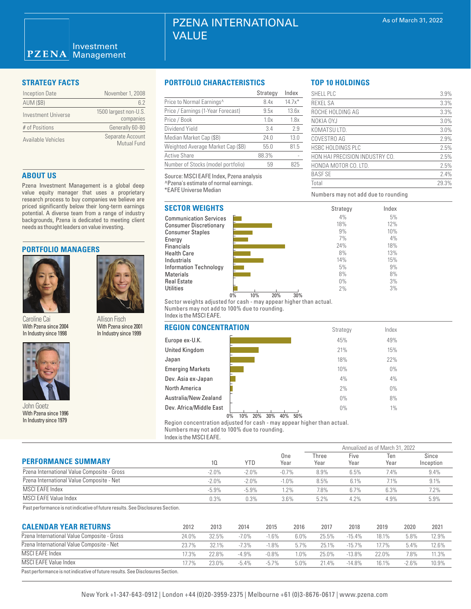# PZENA INTERNATIONAL VALUE

| <b>Inception Date</b> | November 1, 2008                   |
|-----------------------|------------------------------------|
| <b>AUM (\$B)</b>      | 62                                 |
| Investment Universe   | 1500 largest non-U.S.<br>companies |
| # of Positions        | Generally 60-80                    |
| Available Vehicles    | Separate Account<br>Mutual Fund    |

# **ABOUT US**

Pzena Investment Management is a global deep value equity manager that uses a proprietary research process to buy companies we believe are priced significantly below their long-term earnings potential. A diverse team from a range of industry backgrounds, Pzena is dedicated to meeting client needs as thought leaders on value investing.

# **PORTFOLIO MANAGERS**



Caroline Cai With Pzena since 2004 In Industry since 1998



Allison Fisch

With Pzena since 1996 In Industry since 1979

# **STRATEGY FACTS PORTFOLIO CHARACTERISTICS**

|                                       | Strategy | Index    |
|---------------------------------------|----------|----------|
| Price to Normal Earnings <sup>^</sup> | 8.4x     | $14.7x*$ |
| Price / Earnings (1-Year Forecast)    | 9.5x     | 13.6x    |
| Price / Book                          | 1.0x     | 1.8x     |
| Dividend Yield                        | 3.4      | 2.9      |
| Median Market Cap (\$B)               | 24.0     | 13.0     |
| Weighted Average Market Cap (\$B)     | 55.0     | 81.5     |
| <b>Active Share</b>                   | 88.3%    |          |
| Number of Stocks (model portfolio)    | 59       | 825      |

Source: MSCI EAFE Index, Pzena analysis ^Pzena's estimate of normal earnings.

\*EAFE Universe Median

# **SECTOR WEIGHTS**

Communication Services Consumer Discretionary Consumer Staples Energy **Financials** Health Care Industrials Information Technology Materials Real Estate **Utilities** 



Sector weights adjusted for cash - may appear higher than actual. Numbers may not add to 100% due to rounding. Index is the MSCI EAFE.

## **REGION CON**

| <b>VVILITI LUIRE UITUU LUUT</b><br>In Industry since 1998 | VVILIT LUIRIU UIIIUU LUUT<br>In Industry since 1999 | <u>NEUIUN GUNGEN I NATION</u> |  |
|-----------------------------------------------------------|-----------------------------------------------------|-------------------------------|--|
|                                                           |                                                     | Europe ex-U.K.                |  |
|                                                           |                                                     | <b>United Kingdom</b>         |  |
|                                                           |                                                     | Japan                         |  |
|                                                           |                                                     | <b>Emerging Markets</b>       |  |
|                                                           |                                                     | Dev. Asia ex-Japan            |  |
|                                                           |                                                     | <b>North America</b>          |  |
|                                                           |                                                     | Australia/New Zealand         |  |
| John Goetz                                                |                                                     | Dev. Africa/Middle East       |  |

| <b>NCENTRATION</b>   | Strategy | Index |  |
|----------------------|----------|-------|--|
|                      | 45%      | 49%   |  |
|                      | 21%      | 15%   |  |
|                      | 18%      | 22%   |  |
| ets                  | 10%      | $0\%$ |  |
| ıpan                 | 4%       | 4%    |  |
|                      | 2%       | $0\%$ |  |
| Zealand              | 0%       | 8%    |  |
| Idle East            | 0%       | $1\%$ |  |
| $\sim$ $\sim$ $\sim$ |          |       |  |

Region concentration adjusted for cash - may appear higher than actual. Numbers may not add to 100% due to rounding. 0% 10% 20% 30% 40% 50%

Index is the MSCI EAFE.

|                                             |                 |            |             | Annualized as of March 31, 2022 |              |             |                    |
|---------------------------------------------|-----------------|------------|-------------|---------------------------------|--------------|-------------|--------------------|
| <b>PERFORMANCE SUMMARY</b>                  | 10 <sup>°</sup> | <b>YTD</b> | One<br>Year | Three<br>Year                   | Five<br>Year | Ten<br>Year | Since<br>Inception |
| Pzena International Value Composite - Gross | $-2.0\%$        | $-2.0%$    | $-0.7%$     | 8.9%                            | 6.5%         | 7.4%        | 9.4%               |
| Pzena International Value Composite - Net   | $-2.0\%$        | $-2.0%$    | $-1.0%$     | 8.5%                            | 6.1%         | 7.1%        | 9.1%               |
| MSCI EAFE Index                             | $-5.9%$         | $-5.9%$    | 1.2%        | 7.8%                            | 6.7%         | 6.3%        | 7.2%               |
| MSCI EAFE Value Index                       | 0.3%            | 0.3%       | 3.6%        | 5.2%                            | 4.2%         | 4.9%        | 5.9%               |

Past performance is not indicative of future results. See Disclosures Section.

| <b>CALENDAR YEAR RETURNS</b>                                                   | 2012  | 2013  | 2014    | 2015     | 2016 | 2017  | 2018      | 2019     | 2020    | 2021  |
|--------------------------------------------------------------------------------|-------|-------|---------|----------|------|-------|-----------|----------|---------|-------|
| Pzena International Value Composite - Gross                                    | 24.0% | 32.5% | $-7.0%$ | $-1.6%$  | 6.0% | 25.5% | $-15.4%$  | 18.1%    | 5.8%    | 12.9% |
| Pzena International Value Composite - Net                                      | 23.7% | 32.1% | $-7.3%$ | $-1.8%$  | 5.7% | 25.1% | $-15.7\%$ | $17.7\%$ | 5.4%    | 12.6% |
| MSCI EAFE Index                                                                | 17.3% | 22.8% | $-4.9%$ | $-0.8\%$ | 1.0% | 25.0% | $-13.8%$  | 22.0%    | 7.8%    | 11.3% |
| <b>MSCI EAFE Value Index</b>                                                   | 17.7% | 23.0% | $-5.4%$ | $-5.7\%$ | 5.0% | 21.4% | $-14.8%$  | 16.1%    | $-2.6%$ | 10.9% |
| Past performance is not indicative of future results. See Disclosures Section. |       |       |         |          |      |       |           |          |         |       |

**TOP 10 HOLDINGS**

| SHELL PLC                      | 3.9%  |
|--------------------------------|-------|
| <b>REXEL SA</b>                | 3.3%  |
| ROCHE HOLDING AG               | 3.3%  |
| NOKIA OYJ                      | 3.0%  |
| KOMATSU LTD.                   | 3.0%  |
| COVESTRO AG                    | 2.9%  |
| <b>HSBC HOLDINGS PLC</b>       | 2.5%  |
| HON HAI PRECISION INDUSTRY CO. | 2.5%  |
| HONDA MOTOR CO. LTD.           | 2.5%  |
| <b>BASE SE</b>                 | 2.4%  |
| Total                          | 29.3% |
|                                |       |

Index 5% 12% 10%  $4%$ 18% 13% 15% 9% 8% 3% 3%

Numbers may not add due to rounding